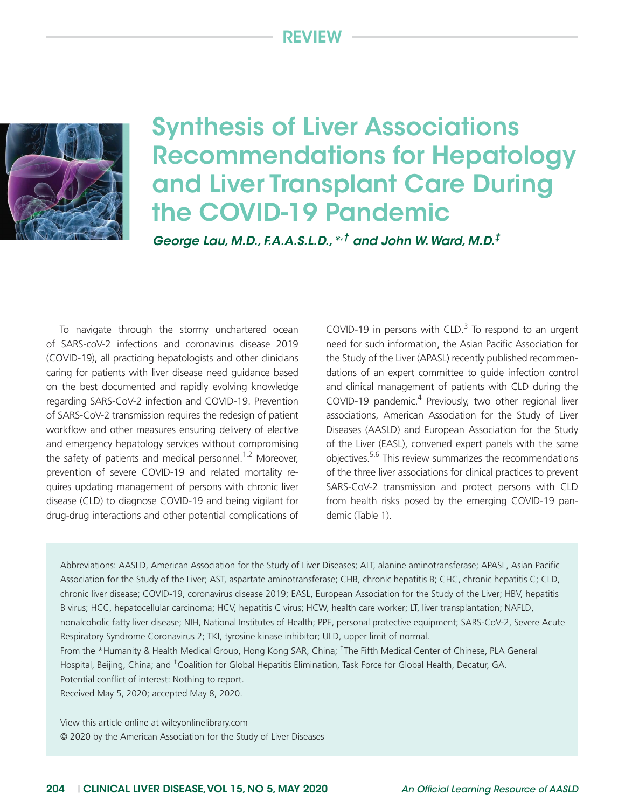# Review



# Synthesis of Liver Associations Recommendations for Hepatology and Liver Transplant Care During the COVID-19 Pandemic

*George Lau, M.D., F.A.A.S.L.D.,\*,† and John W. Ward, M.D.‡*

To navigate through the stormy unchartered ocean of SARS-coV-2 infections and coronavirus disease 2019 (COVID-19), all practicing hepatologists and other clinicians caring for patients with liver disease need guidance based on the best documented and rapidly evolving knowledge regarding SARS-CoV-2 infection and COVID-19. Prevention of SARS-CoV-2 transmission requires the redesign of patient workflow and other measures ensuring delivery of elective and emergency hepatology services without compromising the safety of patients and medical personnel.<sup>1,2</sup> Moreover, prevention of severe COVID-19 and related mortality requires updating management of persons with chronic liver disease (CLD) to diagnose COVID-19 and being vigilant for drug-drug interactions and other potential complications of

COVID-19 in persons with CLD. $3$  To respond to an urgent need for such information, the Asian Pacific Association for the Study of the Liver (APASL) recently published recommendations of an expert committee to guide infection control and clinical management of patients with CLD during the COVID-19 pandemic. $4$  Previously, two other regional liver associations, American Association for the Study of Liver Diseases (AASLD) and European Association for the Study of the Liver (EASL), convened expert panels with the same objectives.5,6 This review summarizes the recommendations of the three liver associations for clinical practices to prevent SARS-CoV-2 transmission and protect persons with CLD from health risks posed by the emerging COVID-19 pandemic (Table 1).

Abbreviations: AASLD, American Association for the Study of Liver Diseases; ALT, alanine aminotransferase; APASL, Asian Pacific Association for the Study of the Liver; AST, aspartate aminotransferase; CHB, chronic hepatitis B; CHC, chronic hepatitis C; CLD, chronic liver disease; COVID-19, coronavirus disease 2019; EASL, European Association for the Study of the Liver; HBV, hepatitis B virus; HCC, hepatocellular carcinoma; HCV, hepatitis C virus; HCW, health care worker; LT, liver transplantation; NAFLD, nonalcoholic fatty liver disease; NIH, National Institutes of Health; PPE, personal protective equipment; SARS-CoV-2, Severe Acute Respiratory Syndrome Coronavirus 2; TKI, tyrosine kinase inhibitor; ULD, upper limit of normal. From the \*Humanity & Health Medical Group, Hong Kong SAR, China; <sup>†</sup>The Fifth Medical Center of Chinese, PLA General

Hospital, Beijing, China; and <sup>‡</sup>Coalition for Global Hepatitis Elimination, Task Force for Global Health, Decatur, GA. Potential conflict of interest: Nothing to report.

Received May 5, 2020; accepted May 8, 2020.

View this article online at wileyonlinelibrary.com © 2020 by the American Association for the Study of Liver Diseases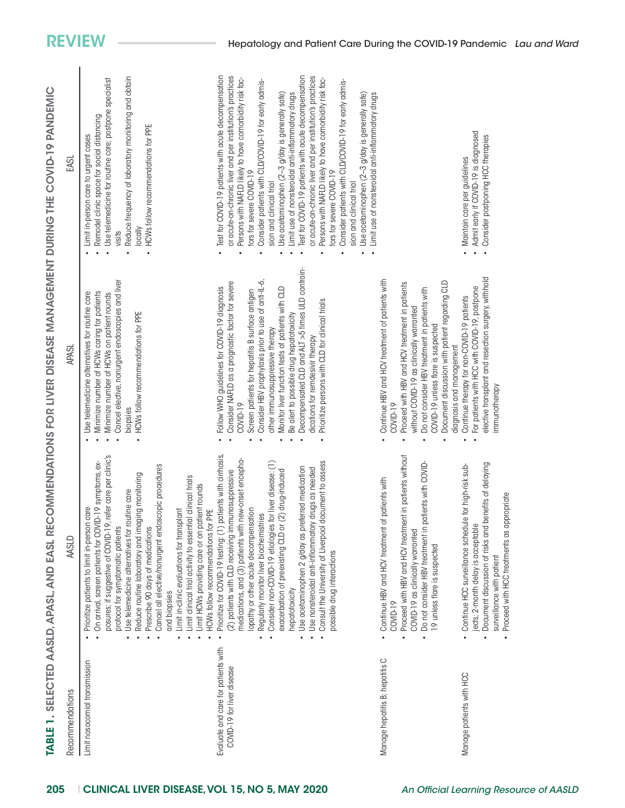| $\overline{\mathbf{C}}$<br>ر |
|------------------------------|
|                              |
|                              |
|                              |
| l                            |
| Í<br>۱                       |
|                              |
|                              |
|                              |
| $\ddot{\epsilon}$            |
|                              |
| Ć                            |
|                              |
| $JID-1$                      |
|                              |
| ۱                            |
|                              |
|                              |
| $\epsilon$                   |
|                              |
| $\overline{\phantom{a}}$     |
|                              |
|                              |
|                              |
|                              |
|                              |
| $\mathcal{C}$                |
|                              |
|                              |
|                              |
| ĺ                            |
|                              |
|                              |
| I                            |
|                              |
| ŀ                            |
|                              |
|                              |
|                              |
|                              |
|                              |
| l                            |
| 1                            |
|                              |
|                              |
|                              |
|                              |
|                              |
|                              |
|                              |
|                              |
| J                            |
|                              |
|                              |
|                              |
|                              |
|                              |
|                              |
| ١                            |
|                              |
|                              |
|                              |
| <b>TED DICE</b>              |
|                              |
| J                            |
|                              |
| Ĺ                            |
|                              |
| ¢                            |
| l                            |
|                              |
|                              |
|                              |
|                              |
| $\overline{\mathbf{C}}$      |
|                              |
| ī                            |
|                              |
|                              |
| ľ                            |
|                              |
|                              |
| l                            |
|                              |
|                              |
|                              |
| NO <sub>O</sub>              |
|                              |
|                              |
|                              |
|                              |
|                              |
| <b>REC</b>                   |
|                              |
|                              |
| <b>ASL</b>                   |
|                              |
|                              |
| Ц<br>J                       |
|                              |
| $\mathbf{r}$<br>۱            |
| ×                            |
|                              |
| é                            |
|                              |
| ı                            |
|                              |
| Ù                            |
| é                            |
| ľ<br>í                       |
|                              |
|                              |
|                              |
| ٢<br>١                       |
| ı                            |
| ō<br>j                       |
| ï<br>é                       |
| l                            |
| ć                            |
|                              |
| Ó                            |
| ١                            |
| l<br>J<br>ı                  |
| ŀ                            |
| Ó<br>)                       |
| l<br>J<br>J                  |
| J                            |
|                              |
| į                            |
| U<br>j                       |
|                              |
| Г                            |
|                              |
| β<br>I                       |
| l                            |
| ñ                            |
| I                            |
| Í                            |

| Recommendations                                                   | <b>AASLD</b>                                                                                                                                                                                                                                                                                                                                                                                                                                                                                                                                                                                                                      | <b>APASL</b>                                                                                                                                                                                                                                                                                                                                                                                                                                                                                                 | EASL                                                                                                                                                                                                                                                                                                                                                                                                                                                                                                                                                                                                                                                                                                                                                                                                       |
|-------------------------------------------------------------------|-----------------------------------------------------------------------------------------------------------------------------------------------------------------------------------------------------------------------------------------------------------------------------------------------------------------------------------------------------------------------------------------------------------------------------------------------------------------------------------------------------------------------------------------------------------------------------------------------------------------------------------|--------------------------------------------------------------------------------------------------------------------------------------------------------------------------------------------------------------------------------------------------------------------------------------------------------------------------------------------------------------------------------------------------------------------------------------------------------------------------------------------------------------|------------------------------------------------------------------------------------------------------------------------------------------------------------------------------------------------------------------------------------------------------------------------------------------------------------------------------------------------------------------------------------------------------------------------------------------------------------------------------------------------------------------------------------------------------------------------------------------------------------------------------------------------------------------------------------------------------------------------------------------------------------------------------------------------------------|
| Limit nosocomial transmission                                     | posures; if suggestive of COVID-19, refer care per clinic's<br>On arrival, screen patients for COVID-19 symptoms, ex-<br>Cancel all elective/nonurgent endoscopic procedures<br>Reduce routine laboratory and imaging monitoring<br>Limit clinical trial activity to essential clinical trials<br>Limit HCWs providing care or on patient rounds<br>Use telemedicine alternatives for routine care<br>Prioritize patients to limit in-person care<br>PE<br>Limit in-clinic evaluations for transplant<br>HCWs follow recommendations for<br>protocol for symptomatic patients<br>Prescribe 90 days of medications<br>and biopsies | Cancel elective, nonurgent endoscopies and liver<br>Minimize number of HCWs caring for patients<br>Use telemedicine alternatives for routine care<br>Minimize number of HCWs on patient rounds<br>HCWs follow recommendations for PPE<br>biopsies                                                                                                                                                                                                                                                            | Reduce frequency of laboratory monitoring and obtain<br>Use telemedicine for routine care; postpone specialist<br>Remodel clinic space for social distancing<br>HCWs follow recommendations for PPE<br>Limit in-person care to urgent cases<br>locally<br>visits                                                                                                                                                                                                                                                                                                                                                                                                                                                                                                                                           |
| Evaluate and care for patients with<br>COVID-19 for liver disease | Prioritize for COVID-19 testing: (1) patients with cirrhosis,<br>new-onset encepha-<br>Consult the University of Liverpool document to assess<br>for liver disease: (1)<br>Use acetaminophen 2 g/day as preferred medication<br>drugs as needed<br>(2) patients with CLD receiving immunosuppressive<br>(2) drug-induced<br>lopathy or other acute decompensation<br>Regularly monitor liver biochemistries<br>Use nonsteroidal anti-inflammatory<br>medications, and (3) patients with<br>Consider non-COVID-19 etiologies<br>exacerbation of preexisting CLD or<br>possible drug interactions<br>hepatotoxicity                 | Decompensated CLD and ALT >5 times ULD contrain-<br>Consider HBV prophylaxis prior to use of anti-IL-6,<br>Consider NAFLD as a prognostic factor for severe<br>Follow WHO guidelines for COVID-19 diagnosis<br>Monitor liver function tests of patients with CLD<br>Screen patients for hepatitis B surface antigen<br>Prioritize persons with CLD for clinical trials<br>Be alert to possible drug hepatotoxicity<br>other immunosuppressive therapy<br>dications for remdesivir therapy<br><b>COVID-19</b> | Test for COVID-19 patients with acute decompensation<br>or acute-on-chronic liver and per institution's practices<br>Test for COVID-19 patients with acute decompensation<br>or acute-on-chronic liver and per institution's practices<br>Persons with NAFLD likely to have comorbidity risk fac-<br>Persons with NAFLD likely to have comorbidity risk fac-<br>Consider patients with CLD/COVID-19 for early admis-<br>Consider patients with CLD/COVID-19 for early admis-<br>Limit use of nonsteroidal anti-inflammatory drugs<br>Use acetaminophen (2-3 g/day is generally safe)<br>Use acetaminophen (2-3 g/day is generally safe)<br>Limit use of nonsteroidal anti-inflammatory drugs<br>fors for severe COVID-19<br>tors for severe COVID-19<br>sion and clinical trial<br>sion and clinical trial |
| Manage hepatitis B; hepatitis C                                   | Proceed with HBV and HCV treatment in patients without<br>Do not consider HBV treatment in patients with COVID-<br>Continue HBV and HCV treatment of patients with<br>COVID-19 as clinically warranted<br>9 unless flare is suspected<br>COVID-19                                                                                                                                                                                                                                                                                                                                                                                 | Continue HBV and HCV treatment of patients with<br>Document discussion with patient regarding CLD<br>Proceed with HBV and HCV treatment in patients<br>Do not consider HBV treatment in patients with<br>without COVID-19 as clinically warranted<br>COVID-19 unless flare is suspected<br>diagnosis and management<br>COVID-19                                                                                                                                                                              |                                                                                                                                                                                                                                                                                                                                                                                                                                                                                                                                                                                                                                                                                                                                                                                                            |
| Manage patients with HCC                                          | Document discussion of risks and benefits of delaying<br>Continue HCC surveillance schedule for high-risk sub-<br>Proceed with HCC treatments as appropriate<br>jects; 2-month delay is acceptable<br>surveillance with patient                                                                                                                                                                                                                                                                                                                                                                                                   | elective transplant and resection surgery, withhold<br>For patients with HCC with COVID-19, postpone<br>Continue therapy for non-COVID-19 patients<br>immunotherapy                                                                                                                                                                                                                                                                                                                                          | Admit early if COVID-19 is diagnosed<br>Consider postponing HCC therapies<br>Maintain care per guidelines                                                                                                                                                                                                                                                                                                                                                                                                                                                                                                                                                                                                                                                                                                  |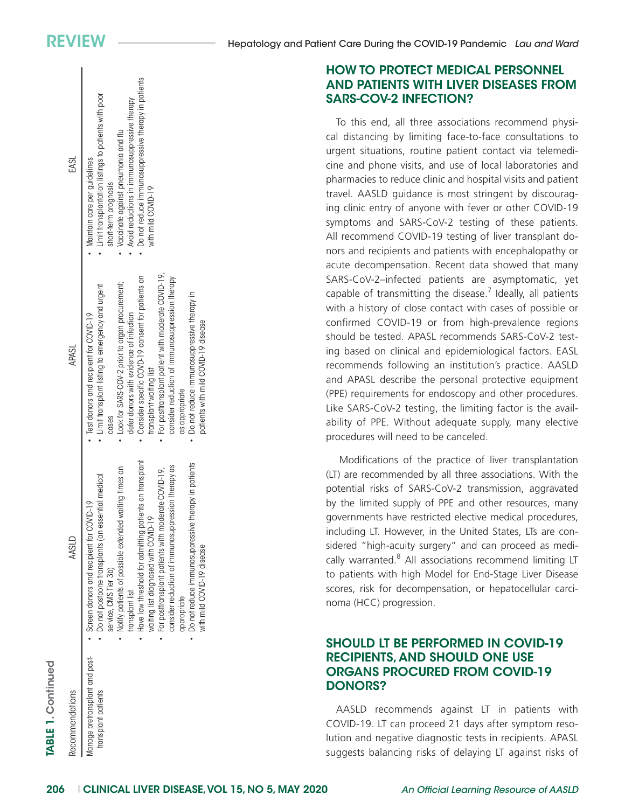## HOW TO PROTECT MEDICAL PERSONNEL AND PATIENTS WITH LIVER DISEASES FROM SARS-COV-2 INFECTION?

To this end, all three associations recommend physical distancing by limiting face-to-face consultations to urgent situations, routine patient contact via telemedicine and phone visits, and use of local laboratories and pharmacies to reduce clinic and hospital visits and patient travel. AASLD guidance is most stringent by discouraging clinic entry of anyone with fever or other COVID-19 symptoms and SARS-CoV-2 testing of these patients. All recommend COVID-19 testing of liver transplant donors and recipients and patients with encephalopathy or acute decompensation. Recent data showed that many SARS-CoV-2–infected patients are asymptomatic, yet capable of transmitting the disease. $<sup>7</sup>$  Ideally, all patients</sup> with a history of close contact with cases of possible or confirmed COVID-19 or from high-prevalence regions should be tested. APASL recommends SARS-CoV-2 testing based on clinical and epidemiological factors. EASL recommends following an institution's practice. AASLD and APASL describe the personal protective equipment (PPE) requirements for endoscopy and other procedures. Like SARS-CoV-2 testing, the limiting factor is the availability of PPE. Without adequate supply, many elective procedures will need to be canceled.

Modifications of the practice of liver transplantation (LT) are recommended by all three associations. With the potential risks of SARS-CoV-2 transmission, aggravated by the limited supply of PPE and other resources, many governments have restricted elective medical procedures, including LT. However, in the United States, LTs are considered "high-acuity surgery" and can proceed as medically warranted.<sup>8</sup> All associations recommend limiting LT to patients with high Model for End-Stage Liver Disease scores, risk for decompensation, or hepatocellular carcinoma (HCC) progression.

### SHOULD LT BE PERFORMED IN COVID-19 RECIPIENTS, AND SHOULD ONE USE ORGANS PROCURED FROM COVID-19 DONORS?

AASLD recommends against LT in patients with COVID-19. LT can proceed 21 days after symptom resolution and negative diagnostic tests in recipients. APASL suggests balancing risks of delaying LT against risks of

| TABLE 1. Continued                                    |                                                                                                                                                                                                                                                                                                                                                                                                                                                                                                                              |                                                                                                                                                                                                                                                                                                                                                                                                                                                                                                           |                                                                                                                                                                                                                                                                                           |
|-------------------------------------------------------|------------------------------------------------------------------------------------------------------------------------------------------------------------------------------------------------------------------------------------------------------------------------------------------------------------------------------------------------------------------------------------------------------------------------------------------------------------------------------------------------------------------------------|-----------------------------------------------------------------------------------------------------------------------------------------------------------------------------------------------------------------------------------------------------------------------------------------------------------------------------------------------------------------------------------------------------------------------------------------------------------------------------------------------------------|-------------------------------------------------------------------------------------------------------------------------------------------------------------------------------------------------------------------------------------------------------------------------------------------|
| Recommendations                                       | AASLD                                                                                                                                                                                                                                                                                                                                                                                                                                                                                                                        | <b>APASL</b>                                                                                                                                                                                                                                                                                                                                                                                                                                                                                              | EASL                                                                                                                                                                                                                                                                                      |
| lanage pretransplant and post-<br>transplant patients | • Have low threshold for admitting patients on transplant<br>• Do not reduce immunosuppressive therapy in patients<br>consider reduction of immunosuppression therapy as<br>Notify patients of possible extended waiting times on<br>For posttransplant patients with moderate COVID-19,<br>Do not postpone transplants (an essential medical<br>• Screen donors and recipient for COVID-19<br>waiting list diagnosed with COVID-19<br>with mild COVID-19 disease<br>service, CMS Tier 3b)<br>transplant list<br>appropriate | For posttransplant patient with moderate COVID-19,<br>• Consider specific COVD-19 consent for patients on<br>consider reduction of immunosuppression therapy<br>• Look for SARS-COV-2 prior to organ procurement;<br>· Limit transplant listing to emergency and urgent<br>• Do not reduce immunosuppressive therapy in<br>defer donors with evidence of infection<br>Test donors and recipient for COVID-19<br>patients with mild COVID-19 disease<br>transplant waiting list<br>as appropriate<br>cases | • Do not reduce immunosuppressive therapy in patients<br>• Limit transplantation listings to patients with poor<br>Avoid reductions in immunosuppressive therapy<br>• Vaccinate against pneumonia and flu<br>· Maintain care per guidelines<br>short-term prognosis<br>with mild COVID-19 |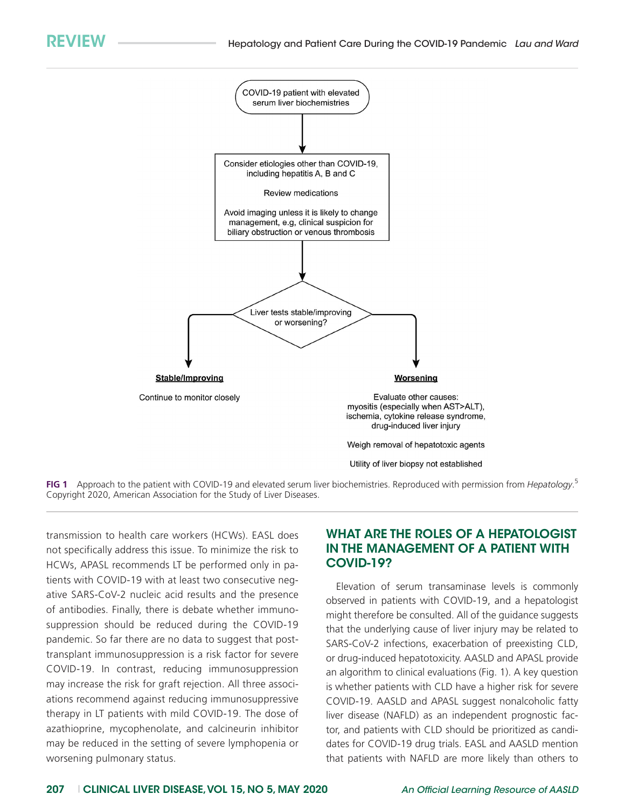

**FIG 1** Approach to the patient with COVID-19 and elevated serum liver biochemistries. Reproduced with permission from *Hepatology*. 5 Copyright 2020, American Association for the Study of Liver Diseases.

transmission to health care workers (HCWs). EASL does not specifically address this issue. To minimize the risk to HCWs, APASL recommends LT be performed only in patients with COVID-19 with at least two consecutive negative SARS-CoV-2 nucleic acid results and the presence of antibodies. Finally, there is debate whether immunosuppression should be reduced during the COVID-19 pandemic. So far there are no data to suggest that posttransplant immunosuppression is a risk factor for severe COVID-19. In contrast, reducing immunosuppression may increase the risk for graft rejection. All three associations recommend against reducing immunosuppressive therapy in LT patients with mild COVID-19. The dose of azathioprine, mycophenolate, and calcineurin inhibitor may be reduced in the setting of severe lymphopenia or worsening pulmonary status.

#### WHAT ARE THE ROLES OF A HEPATOLOGIST IN THE MANAGEMENT OF A PATIENT WITH COVID-19?

Elevation of serum transaminase levels is commonly observed in patients with COVID-19, and a hepatologist might therefore be consulted. All of the guidance suggests that the underlying cause of liver injury may be related to SARS-CoV-2 infections, exacerbation of preexisting CLD, or drug-induced hepatotoxicity. AASLD and APASL provide an algorithm to clinical evaluations (Fig. 1). A key question is whether patients with CLD have a higher risk for severe COVID-19. AASLD and APASL suggest nonalcoholic fatty liver disease (NAFLD) as an independent prognostic factor, and patients with CLD should be prioritized as candidates for COVID-19 drug trials. EASL and AASLD mention that patients with NAFLD are more likely than others to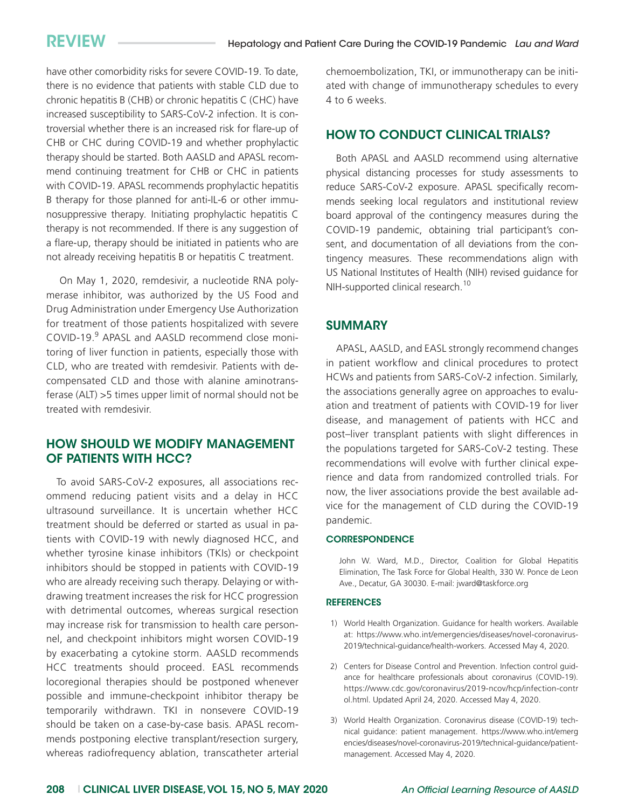have other comorbidity risks for severe COVID-19. To date, there is no evidence that patients with stable CLD due to chronic hepatitis B (CHB) or chronic hepatitis C (CHC) have increased susceptibility to SARS-CoV-2 infection. It is controversial whether there is an increased risk for flare-up of CHB or CHC during COVID-19 and whether prophylactic therapy should be started. Both AASLD and APASL recommend continuing treatment for CHB or CHC in patients with COVID-19. APASL recommends prophylactic hepatitis B therapy for those planned for anti-IL-6 or other immunosuppressive therapy*.* Initiating prophylactic hepatitis C therapy is not recommended. If there is any suggestion of a flare-up, therapy should be initiated in patients who are not already receiving hepatitis B or hepatitis C treatment.

On May 1, 2020, remdesivir, a nucleotide RNA polymerase inhibitor, was authorized by the US Food and Drug Administration under Emergency Use Authorization for treatment of those patients hospitalized with severe COVID-19.<sup>9</sup> APASL and AASLD recommend close monitoring of liver function in patients, especially those with CLD, who are treated with remdesivir. Patients with decompensated CLD and those with alanine aminotransferase (ALT) >5 times upper limit of normal should not be treated with remdesivir.

### HOW SHOULD WE MODIFY MANAGEMENT OF PATIENTS WITH HCC?

To avoid SARS-CoV-2 exposures, all associations recommend reducing patient visits and a delay in HCC ultrasound surveillance. It is uncertain whether HCC treatment should be deferred or started as usual in patients with COVID-19 with newly diagnosed HCC, and whether tyrosine kinase inhibitors (TKIs) or checkpoint inhibitors should be stopped in patients with COVID-19 who are already receiving such therapy. Delaying or withdrawing treatment increases the risk for HCC progression with detrimental outcomes, whereas surgical resection may increase risk for transmission to health care personnel, and checkpoint inhibitors might worsen COVID-19 by exacerbating a cytokine storm. AASLD recommends HCC treatments should proceed. EASL recommends locoregional therapies should be postponed whenever possible and immune-checkpoint inhibitor therapy be temporarily withdrawn. TKI in nonsevere COVID-19 should be taken on a case-by-case basis. APASL recommends postponing elective transplant/resection surgery, whereas radiofrequency ablation, transcatheter arterial chemoembolization, TKI, or immunotherapy can be initiated with change of immunotherapy schedules to every 4 to 6 weeks.

#### HOW TO CONDUCT CLINICAL TRIALS?

Both APASL and AASLD recommend using alternative physical distancing processes for study assessments to reduce SARS-CoV-2 exposure. APASL specifically recommends seeking local regulators and institutional review board approval of the contingency measures during the COVID-19 pandemic, obtaining trial participant's consent, and documentation of all deviations from the contingency measures. These recommendations align with US National Institutes of Health (NIH) revised guidance for NIH-supported clinical research.<sup>10</sup>

#### **SUMMARY**

APASL, AASLD, and EASL strongly recommend changes in patient workflow and clinical procedures to protect HCWs and patients from SARS-CoV-2 infection. Similarly, the associations generally agree on approaches to evaluation and treatment of patients with COVID-19 for liver disease, and management of patients with HCC and post–liver transplant patients with slight differences in the populations targeted for SARS-CoV-2 testing. These recommendations will evolve with further clinical experience and data from randomized controlled trials. For now, the liver associations provide the best available advice for the management of CLD during the COVID-19 pandemic.

#### **CORRESPONDENCE**

John W. Ward, M.D., Director, Coalition for Global Hepatitis Elimination, The Task Force for Global Health, 330 W. Ponce de Leon Ave., Decatur, GA 30030. E-mail: [jward@taskforce.org](mailto:jward@taskforce.org)

#### **REFERENCES**

- 1) World Health Organization. Guidance for health workers. Available at: [https://www.who.int/emergencies/diseases/novel-coronavirus-](https://www.who.int/emergencies/diseases/novel-coronavirus-2019/technical-guidance/health-workers)[2019/technical-guidance/health-workers](https://www.who.int/emergencies/diseases/novel-coronavirus-2019/technical-guidance/health-workers). Accessed May 4, 2020.
- 2) Centers for Disease Control and Prevention. Infection control guidance for healthcare professionals about coronavirus (COVID-19). [https://www.cdc.gov/coronavirus/2019-ncov/hcp/infection-contr](https://www.cdc.gov/coronavirus/2019-ncov/hcp/infection-control.html) [ol.html](https://www.cdc.gov/coronavirus/2019-ncov/hcp/infection-control.html). Updated April 24, 2020. Accessed May 4, 2020.
- 3) World Health Organization. Coronavirus disease (COVID-19) technical guidance: patient management. [https://www.who.int/emerg](https://www.who.int/emergencies/diseases/novel-coronavirus-2019/technical-guidance/patient-management) [encies/diseases/novel-coronavirus-2019/technical-guidance/patient](https://www.who.int/emergencies/diseases/novel-coronavirus-2019/technical-guidance/patient-management)[management](https://www.who.int/emergencies/diseases/novel-coronavirus-2019/technical-guidance/patient-management). Accessed May 4, 2020.